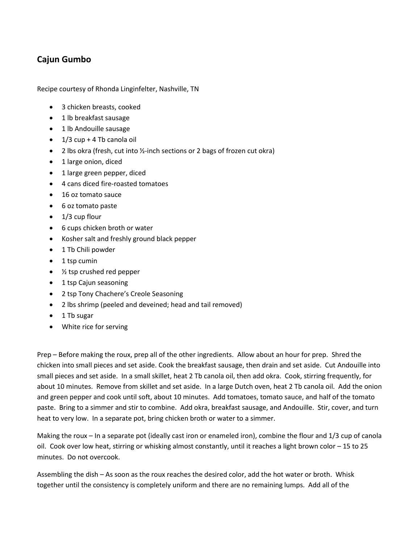## **Cajun Gumbo**

Recipe courtesy of Rhonda Linginfelter, Nashville, TN

- 3 chicken breasts, cooked
- 1 lb breakfast sausage
- 1 lb Andouille sausage
- $\bullet$  1/3 cup + 4 Tb canola oil
- 2 lbs okra (fresh, cut into ½-inch sections or 2 bags of frozen cut okra)
- 1 large onion, diced
- 1 large green pepper, diced
- 4 cans diced fire-roasted tomatoes
- 16 oz tomato sauce
- 6 oz tomato paste
- $\bullet$  1/3 cup flour
- 6 cups chicken broth or water
- Kosher salt and freshly ground black pepper
- 1 Tb Chili powder
- $\bullet$  1 tsp cumin
- ½ tsp crushed red pepper
- 1 tsp Cajun seasoning
- 2 tsp Tony Chachere's Creole Seasoning
- 2 lbs shrimp (peeled and deveined; head and tail removed)
- 1 Tb sugar
- White rice for serving

Prep – Before making the roux, prep all of the other ingredients. Allow about an hour for prep. Shred the chicken into small pieces and set aside. Cook the breakfast sausage, then drain and set aside. Cut Andouille into small pieces and set aside. In a small skillet, heat 2 Tb canola oil, then add okra. Cook, stirring frequently, for about 10 minutes. Remove from skillet and set aside. In a large Dutch oven, heat 2 Tb canola oil. Add the onion and green pepper and cook until soft, about 10 minutes. Add tomatoes, tomato sauce, and half of the tomato paste. Bring to a simmer and stir to combine. Add okra, breakfast sausage, and Andouille. Stir, cover, and turn heat to very low. In a separate pot, bring chicken broth or water to a simmer.

Making the roux – In a separate pot (ideally cast iron or enameled iron), combine the flour and 1/3 cup of canola oil. Cook over low heat, stirring or whisking almost constantly, until it reaches a light brown color – 15 to 25 minutes. Do not overcook.

Assembling the dish – As soon as the roux reaches the desired color, add the hot water or broth. Whisk together until the consistency is completely uniform and there are no remaining lumps. Add all of the